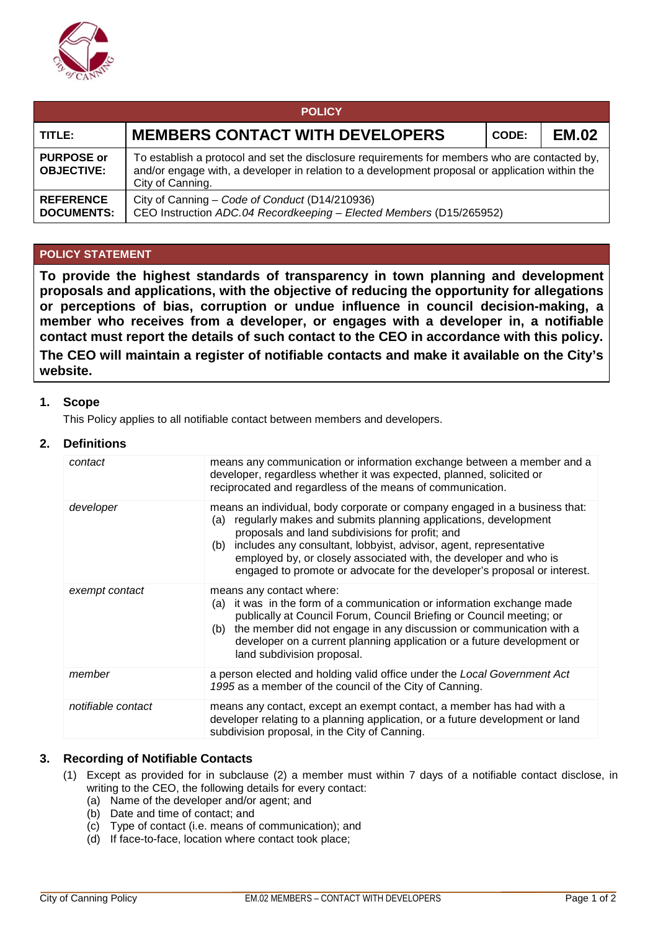

| <b>POLICY</b>                          |                                                                                                                                                                                                                      |       |              |  |  |  |  |
|----------------------------------------|----------------------------------------------------------------------------------------------------------------------------------------------------------------------------------------------------------------------|-------|--------------|--|--|--|--|
| TITLE:                                 | <b>MEMBERS CONTACT WITH DEVELOPERS</b>                                                                                                                                                                               | CODE: | <b>EM.02</b> |  |  |  |  |
| <b>PURPOSE or</b><br><b>OBJECTIVE:</b> | To establish a protocol and set the disclosure requirements for members who are contacted by,<br>and/or engage with, a developer in relation to a development proposal or application within the<br>City of Canning. |       |              |  |  |  |  |
| <b>REFERENCE</b><br><b>DOCUMENTS:</b>  | City of Canning - Code of Conduct (D14/210936)<br>CEO Instruction ADC.04 Recordkeeping - Elected Members (D15/265952)                                                                                                |       |              |  |  |  |  |

# **POLICY STATEMENT**

**To provide the highest standards of transparency in town planning and development proposals and applications, with the objective of reducing the opportunity for allegations or perceptions of bias, corruption or undue influence in council decision-making, a member who receives from a developer, or engages with a developer in, a notifiable contact must report the details of such contact to the CEO in accordance with this policy. The CEO will maintain a register of notifiable contacts and make it available on the City's website.**

## **1. Scope**

This Policy applies to all notifiable contact between members and developers.

## **2. Definitions**

| contact            | means any communication or information exchange between a member and a<br>developer, regardless whether it was expected, planned, solicited or<br>reciprocated and regardless of the means of communication.                                                                                                                                                                                                                     |  |  |
|--------------------|----------------------------------------------------------------------------------------------------------------------------------------------------------------------------------------------------------------------------------------------------------------------------------------------------------------------------------------------------------------------------------------------------------------------------------|--|--|
| developer          | means an individual, body corporate or company engaged in a business that:<br>(a) regularly makes and submits planning applications, development<br>proposals and land subdivisions for profit; and<br>includes any consultant, lobbyist, advisor, agent, representative<br>(b)<br>employed by, or closely associated with, the developer and who is<br>engaged to promote or advocate for the developer's proposal or interest. |  |  |
| exempt contact     | means any contact where:<br>(a) it was in the form of a communication or information exchange made<br>publically at Council Forum, Council Briefing or Council meeting; or<br>the member did not engage in any discussion or communication with a<br>(b)<br>developer on a current planning application or a future development or<br>land subdivision proposal.                                                                 |  |  |
| member             | a person elected and holding valid office under the Local Government Act<br>1995 as a member of the council of the City of Canning.                                                                                                                                                                                                                                                                                              |  |  |
| notifiable contact | means any contact, except an exempt contact, a member has had with a<br>developer relating to a planning application, or a future development or land<br>subdivision proposal, in the City of Canning.                                                                                                                                                                                                                           |  |  |

#### **3. Recording of Notifiable Contacts**

- (1) Except as provided for in subclause (2) a member must within 7 days of a notifiable contact disclose, in writing to the CEO, the following details for every contact:
	- (a) Name of the developer and/or agent; and
	- (b) Date and time of contact; and
	- (c) Type of contact (i.e. means of communication); and
	- (d) If face-to-face, location where contact took place;